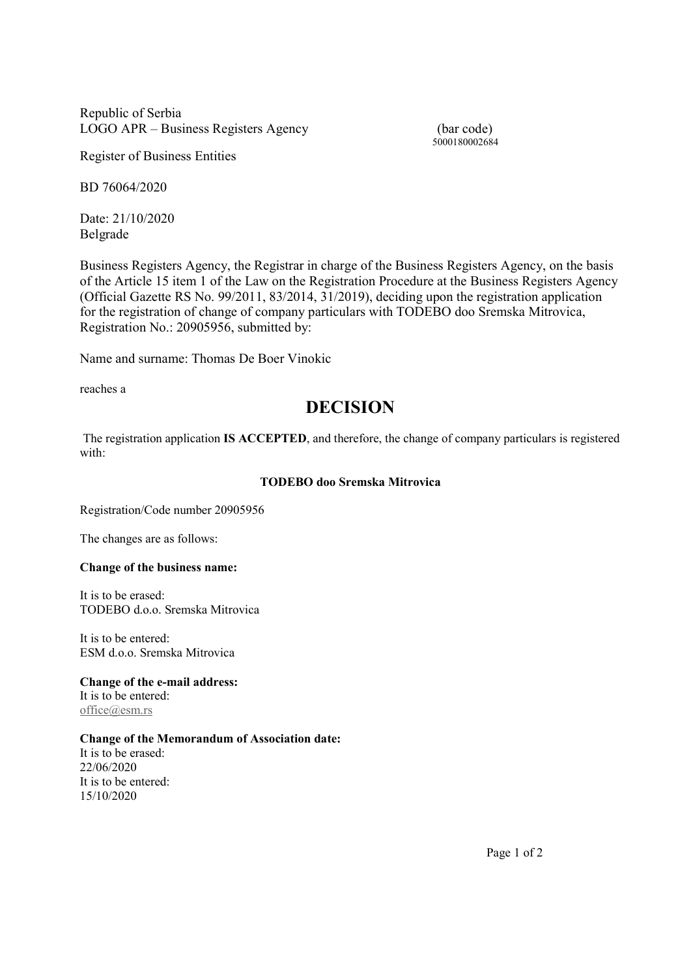Republic of Serbia LOGO APR – Business Registers Agency (bar code)

5000180002684

Register of Business Entities

BD 76064/2020

Date: 21/10/2020 Belgrade

Business Registers Agency, the Registrar in charge of the Business Registers Agency, on the basis of the Article 15 item 1 of the Law on the Registration Procedure at the Business Registers Agency (Official Gazette RS No. 99/2011, 83/2014, 31/2019), deciding upon the registration application for the registration of change of company particulars with TODEBO doo Sremska Mitrovica, Registration No.: 20905956, submitted by:

Name and surname: Thomas De Boer Vinokic

reaches a

# DECISION

 The registration application IS ACCEPTED, and therefore, the change of company particulars is registered with:

# TODEBO doo Sremska Mitrovica

Registration/Code number 20905956

The changes are as follows:

# Change of the business name:

It is to be erased: TODEBO d.o.o. Sremska Mitrovica

It is to be entered: ESM d.o.o. Sremska Mitrovica

#### Change of the e-mail address: It is to be entered:

office@esm.rs

## Change of the Memorandum of Association date:

It is to be erased: 22/06/2020 It is to be entered: 15/10/2020